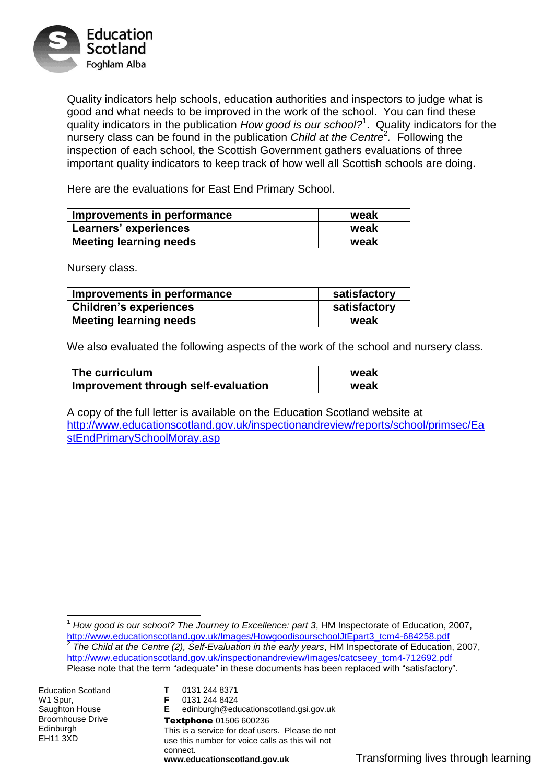

Quality indicators help schools, education authorities and inspectors to judge what is good and what needs to be improved in the work of the school. You can find these quality indicators in the publication *How good is our school?*<sup>1</sup> . Quality indicators for the nursery class can be found in the publication *Child at the Centre*<sup>2</sup> *.* Following the inspection of each school, the Scottish Government gathers evaluations of three important quality indicators to keep track of how well all Scottish schools are doing.

Here are the evaluations for East End Primary School.

| Improvements in performance   | weak |
|-------------------------------|------|
| Learners' experiences         | weak |
| <b>Meeting learning needs</b> | weak |

Nursery class.

| Improvements in performance   | satisfactory |
|-------------------------------|--------------|
| <b>Children's experiences</b> | satisfactory |
| <b>Meeting learning needs</b> | weak         |

We also evaluated the following aspects of the work of the school and nursery class.

| The curriculum                      | weak |
|-------------------------------------|------|
| Improvement through self-evaluation | weak |

A copy of the full letter is available on the Education Scotland website at [http://www.educationscotland.gov.uk/inspectionandreview/reports/school/primsec/Ea](http://www.educationscotland.gov.uk/inspectionandreview/reports/school/primsec/EastEndPrimarySchoolMoray.asp) [stEndPrimarySchoolMoray.asp](http://www.educationscotland.gov.uk/inspectionandreview/reports/school/primsec/EastEndPrimarySchoolMoray.asp)

 $\overline{1}$ <sup>1</sup> *How good is our school? The Journey to Excellence: part 3*, HM Inspectorate of Education, 2007, [http://www.educationscotland.gov.uk/Images/HowgoodisourschoolJtEpart3\\_tcm4-684258.pdf](http://www.educationscotland.gov.uk/Images/HowgoodisourschoolJtEpart3_tcm4-684258.pdf) 2 *The Child at the Centre (2), Self-Evaluation in the early years*, HM Inspectorate of Education, 2007, [http://www.educationscotland.gov.uk/inspectionandreview/Images/catcseey\\_tcm4-712692.pdf](http://www.educationscotland.gov.uk/inspectionandreview/Images/catcseey_tcm4-712692.pdf) Please note that the term "adequate" in these documents has been replaced with "satisfactory".

Education Scotland W<sub>1</sub> Spur. Saughton House Broomhouse Drive **Edinburgh** EH11 3XD

**F** 0131 244 8424 **E** edinburgh@educationscotland.gsi.gov.uk Textphone 01506 600236 This is a service for deaf users. Please do not use this number for voice calls as this will not connect.

**T** 0131 244 8371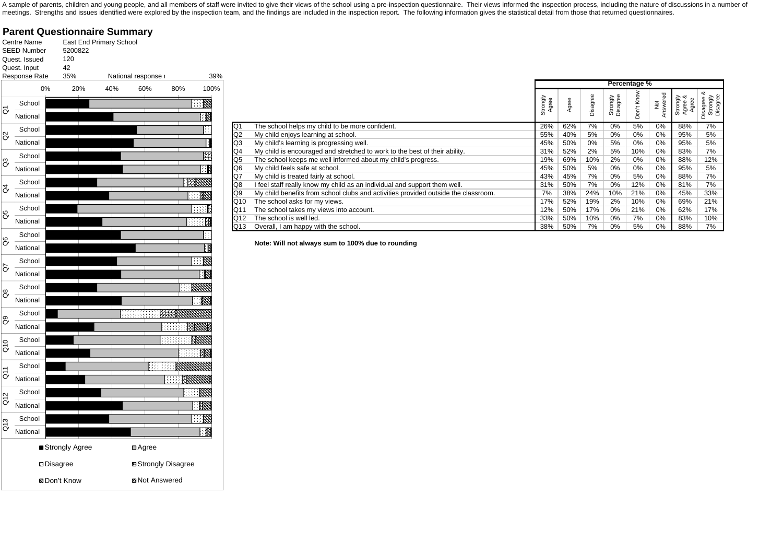A sample of parents, children and young people, and all members of staff were invited to give their views of the school using a pre-inspection questionnaire. Their views informed the inspection process, including the natur meetings. Strengths and issues identified were explored by the inspection team, and the findings are included in the inspection report. The following information gives the statistical detail from those that returned questi

**Parent Questionnaire Summary** Centre NameEast End Primary School SEED Number 5200822 Quest. Issued120 Quest. Input 42 Response Rate 35% National response r 39% 100% 0% 20% 40% 60% 80% 100%School  $\overline{c}$ ाः National School  $\alpha$ National School  $\mathbb{S}^3$ National School  $\overline{d}$ National School Q5 National School  $\mathcal{S}$ National School  $\overline{G}$ National School  $\mathcal{C}^8$ National School  $\mathcal{S}$ National Q10 School National  $\overline{a}$ School National School Q12 National Q13 School T National ■Strongly Agree <br>
■ Strongly Agree Disagree Strongly Disagree ® Don't Know **Z** Not Answered

|     |                                                                                    |                   |       |          |                      | Percentage %                |                 |                              |                                       |
|-----|------------------------------------------------------------------------------------|-------------------|-------|----------|----------------------|-----------------------------|-----------------|------------------------------|---------------------------------------|
|     |                                                                                    | Strongly<br>Agree | Agree | Disagree | Strongly<br>Disagree | Know<br>$\overline{5}$<br>Ó | Not<br>Answered | య<br>Strongly<br>Agree<br>ξá | య<br>Strongly<br>Disagree<br>Disagree |
| Q1  | The school helps my child to be more confident.                                    | 26%               | 62%   | 7%       | $0\%$                | 5%                          | $0\%$           | 88%                          | 7%                                    |
| Q2  | My child enjoys learning at school.                                                | 55%               | 40%   | 5%       | 0%                   | 0%                          | 0%              | 95%                          | 5%                                    |
| Q3  | My child's learning is progressing well.                                           | 45%               | 50%   | $0\%$    | 5%                   | 0%                          | $0\%$           | 95%                          | 5%                                    |
| Q4  | My child is encouraged and stretched to work to the best of their ability.         | 31%               | 52%   | 2%       | 5%                   | 10%                         | 0%              | 83%                          | 7%                                    |
| Q5  | The school keeps me well informed about my child's progress.                       | 19%               | 69%   | 10%      | 2%                   | 0%                          | 0%              | 88%                          | 12%                                   |
| Q6  | My child feels safe at school.                                                     | 45%               | 50%   | 5%       | 0%                   | 0%                          | $0\%$           | 95%                          | 5%                                    |
| Q7  | My child is treated fairly at school.                                              | 43%               | 45%   | 7%       | 0%                   | 5%                          | 0%              | 88%                          | 7%                                    |
| Q8  | I feel staff really know my child as an individual and support them well.          | 31%               | 50%   | 7%       | 0%                   | 12%                         | $0\%$           | 81%                          | 7%                                    |
| Q9  | My child benefits from school clubs and activities provided outside the classroom. | 7%                | 38%   | 24%      | 10%                  | 21%                         | 0%              | 45%                          | 33%                                   |
| Q10 | The school asks for my views.                                                      | 17%               | 52%   | 19%      | 2%                   | 10%                         | $0\%$           | 69%                          | 21%                                   |
| Q11 | The school takes my views into account.                                            | 12%               | 50%   | 17%      | 0%                   | 21%                         | 0%              | 62%                          | 17%                                   |
| Q12 | The school is well led.                                                            | 33%               | 50%   | 10%      | 0%                   | 7%                          | $0\%$           | 83%                          | 10%                                   |
| Q13 | Overall, I am happy with the school.                                               | 38%               | 50%   | 7%       | 0%                   | 5%                          | $0\%$           | 88%                          | 7%                                    |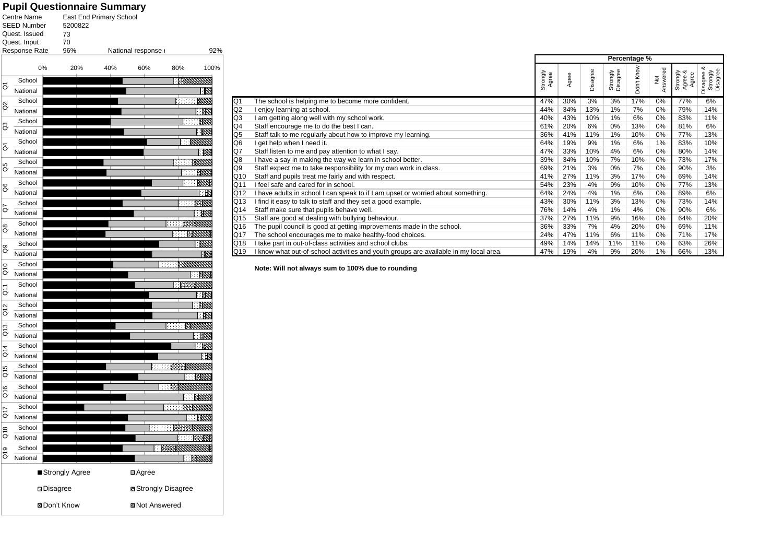#### **Pupil Questionnaire Summary**

|                                     | Centre Name<br>SEED Number | 5200822            | East End Primary School |                                      |                    |      |  |  |  |  |
|-------------------------------------|----------------------------|--------------------|-------------------------|--------------------------------------|--------------------|------|--|--|--|--|
|                                     | Quest, Issued              | 73                 |                         |                                      |                    |      |  |  |  |  |
|                                     | Quest. Input               | 70                 |                         |                                      |                    |      |  |  |  |  |
|                                     | Response Rate              | 96%                |                         | National response r                  |                    | 92%  |  |  |  |  |
|                                     | 0%                         | 20%                | 40%                     | 60%                                  | 80%                | 100% |  |  |  |  |
|                                     | School                     |                    |                         |                                      | ाहर                |      |  |  |  |  |
| δ                                   | National                   |                    |                         |                                      |                    |      |  |  |  |  |
| g                                   | School                     |                    |                         |                                      | 333333             |      |  |  |  |  |
|                                     | National                   |                    |                         |                                      |                    |      |  |  |  |  |
| 3                                   | School<br>National         |                    |                         |                                      |                    |      |  |  |  |  |
|                                     | School                     |                    |                         |                                      | 88                 |      |  |  |  |  |
| ð                                   | National                   |                    |                         |                                      |                    |      |  |  |  |  |
|                                     | School                     |                    |                         |                                      |                    |      |  |  |  |  |
| G5                                  | National                   |                    |                         |                                      |                    |      |  |  |  |  |
|                                     | School                     |                    |                         |                                      |                    |      |  |  |  |  |
| 8                                   | National                   |                    |                         |                                      |                    |      |  |  |  |  |
|                                     | School                     |                    |                         |                                      |                    |      |  |  |  |  |
| ð                                   | National                   |                    |                         |                                      |                    |      |  |  |  |  |
|                                     | School                     |                    |                         |                                      |                    |      |  |  |  |  |
| 8                                   | National                   |                    |                         |                                      |                    |      |  |  |  |  |
|                                     | School                     |                    |                         |                                      |                    |      |  |  |  |  |
| 8O                                  | National                   |                    |                         |                                      |                    |      |  |  |  |  |
|                                     | School                     |                    |                         |                                      | 888                |      |  |  |  |  |
| $\frac{0}{2}$                       | National                   |                    |                         |                                      |                    |      |  |  |  |  |
|                                     | School                     |                    |                         |                                      | <b>COLLECT</b>     |      |  |  |  |  |
| $\overline{c}$                      | National                   |                    |                         |                                      |                    |      |  |  |  |  |
| $\frac{2}{9}$                       | School                     |                    |                         |                                      |                    |      |  |  |  |  |
|                                     | National                   |                    |                         |                                      |                    |      |  |  |  |  |
| $\frac{3}{2}$                       | School                     |                    |                         |                                      | 88888              |      |  |  |  |  |
|                                     | National                   |                    |                         |                                      |                    |      |  |  |  |  |
| $\frac{4}{9}$                       | School                     |                    |                         |                                      |                    |      |  |  |  |  |
|                                     | National                   |                    |                         |                                      |                    |      |  |  |  |  |
| Q15                                 | School<br>National         |                    |                         |                                      | 888888             |      |  |  |  |  |
|                                     |                            |                    |                         |                                      | - 199              |      |  |  |  |  |
| $\frac{6}{2}$                       | School<br>National         |                    |                         |                                      |                    |      |  |  |  |  |
|                                     | School                     |                    |                         |                                      |                    |      |  |  |  |  |
| G17                                 | National                   |                    |                         |                                      |                    |      |  |  |  |  |
|                                     | School                     |                    |                         | 888888                               |                    |      |  |  |  |  |
| ഇ<br>♂                              | National                   |                    |                         |                                      |                    |      |  |  |  |  |
|                                     | School                     |                    |                         |                                      | <b>ING ASSAULT</b> |      |  |  |  |  |
| oro                                 | National                   |                    |                         |                                      | <b>BANK</b>        |      |  |  |  |  |
|                                     |                            |                    |                         |                                      |                    |      |  |  |  |  |
| ■ Strongly Agree<br><b>Disagree</b> |                            |                    |                         | □Agree<br><b>E</b> Strongly Disagree |                    |      |  |  |  |  |
|                                     |                            |                    |                         |                                      |                    |      |  |  |  |  |
|                                     |                            | <b>SDon't Know</b> |                         | <b>ØaNot Answered</b>                |                    |      |  |  |  |  |

|     |                                                                                       |                   |       |          |                      | Percentage % |                 |                                 |                                       |
|-----|---------------------------------------------------------------------------------------|-------------------|-------|----------|----------------------|--------------|-----------------|---------------------------------|---------------------------------------|
|     |                                                                                       | Strongly<br>Agree | Agree | Disagree | Strongly<br>Disagree | Don't Know   | Not<br>Answered | య<br>Strongly<br>Agree<br>Agree | య<br>Strongly<br>Disagree<br>Disagree |
| Q1  | The school is helping me to become more confident.                                    | 47%               | 30%   | 3%       | 3%                   | 17%          | 0%              | 77%                             | 6%                                    |
| Q2  | I enjoy learning at school.                                                           | 44%               | 34%   | 13%      | 1%                   | 7%           | 0%              | 79%                             | 14%                                   |
| Q3  | I am getting along well with my school work.                                          | 40%               | 43%   | 10%      | 1%                   | 6%           | 0%              | 83%                             | 11%                                   |
| Q4  | Staff encourage me to do the best I can.                                              | 61%               | 20%   | 6%       | $0\%$                | 13%          | 0%              | 81%                             | 6%                                    |
| Q5  | Staff talk to me regularly about how to improve my learning.                          | 36%               | 41%   | 11%      | 1%                   | 10%          | 0%              | 77%                             | 13%                                   |
| Q6  | I get help when I need it.                                                            | 64%               | 19%   | 9%       | 1%                   | 6%           | 1%              | 83%                             | 10%                                   |
| Q7  | Staff listen to me and pay attention to what I say.                                   | 47%               | 33%   | 10%      | 4%                   | 6%           | 0%              | 80%                             | 14%                                   |
| Q8  | I have a say in making the way we learn in school better.                             | 39%               | 34%   | 10%      | 7%                   | 10%          | 0%              | 73%                             | 17%                                   |
| Q9  | Staff expect me to take responsibility for my own work in class.                      | 69%               | 21%   | 3%       | 0%                   | 7%           | 0%              | 90%                             | 3%                                    |
| Q10 | Staff and pupils treat me fairly and with respect.                                    | 41%               | 27%   | 11%      | 3%                   | 17%          | 0%              | 69%                             | 14%                                   |
| Q11 | I feel safe and cared for in school.                                                  | 54%               | 23%   | 4%       | 9%                   | 10%          | 0%              | 77%                             | 13%                                   |
| Q12 | I have adults in school I can speak to if I am upset or worried about something.      | 64%               | 24%   | 4%       | 1%                   | 6%           | 0%              | 89%                             | 6%                                    |
| Q13 | I find it easy to talk to staff and they set a good example.                          | 43%               | 30%   | 11%      | 3%                   | 13%          | 0%              | 73%                             | 14%                                   |
| Q14 | Staff make sure that pupils behave well.                                              | 76%               | 14%   | 4%       | 1%                   | 4%           | 0%              | 90%                             | 6%                                    |
| Q15 | Staff are good at dealing with bullying behaviour.                                    | 37%               | 27%   | 11%      | 9%                   | 16%          | 0%              | 64%                             | 20%                                   |
| Q16 | The pupil council is good at getting improvements made in the school.                 | 36%               | 33%   | 7%       | 4%                   | 20%          | 0%              | 69%                             | 11%                                   |
| Q17 | The school encourages me to make healthy-food choices.                                | 24%               | 47%   | 11%      | 6%                   | 11%          | $0\%$           | 71%                             | 17%                                   |
| Q18 | I take part in out-of-class activities and school clubs.                              | 49%               | 14%   | 14%      | 11%                  | 11%          | 0%              | 63%                             | 26%                                   |
| Q19 | I know what out-of-school activities and youth groups are available in my local area. | 47%               | 19%   | 4%       | 9%                   | 20%          | 1%              | 66%                             | 13%                                   |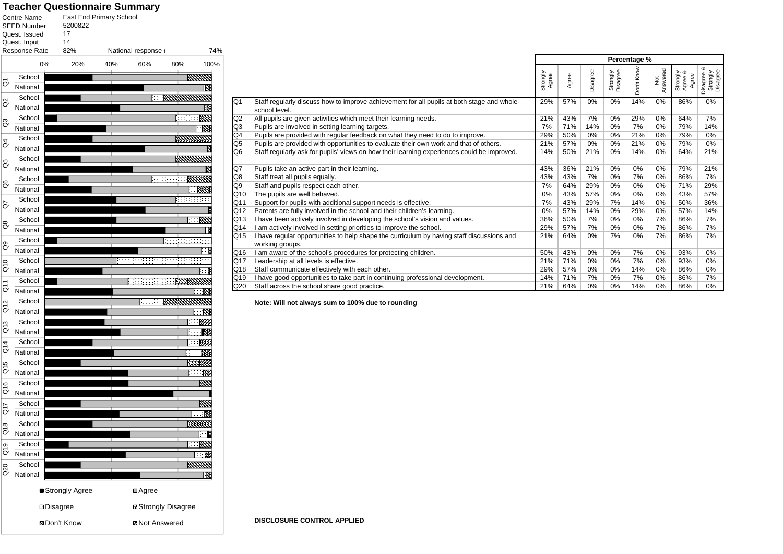#### **Teacher Questionnaire Summary**

|                          | Centre Name<br>SEED Number<br>Quest. Issued<br>Quest. Input<br>Response Rate | East End Primary School<br>5200822<br>17<br>14<br>82% |     | National response r   |                             | 74%  |
|--------------------------|------------------------------------------------------------------------------|-------------------------------------------------------|-----|-----------------------|-----------------------------|------|
|                          | 0%                                                                           | 20%                                                   | 40% | 60%                   | 80%                         | 100% |
|                          | School                                                                       |                                                       |     |                       |                             |      |
| δ                        | National                                                                     |                                                       |     |                       |                             |      |
|                          | School                                                                       |                                                       |     | 38                    |                             |      |
| S                        | National                                                                     |                                                       |     |                       |                             |      |
|                          | School                                                                       |                                                       |     |                       | 8888888                     |      |
| 3                        | National                                                                     |                                                       |     |                       |                             |      |
|                          | School                                                                       |                                                       |     |                       |                             |      |
| $\beta$                  | National                                                                     |                                                       |     |                       |                             |      |
| 8                        | School                                                                       |                                                       |     |                       |                             |      |
|                          | National                                                                     |                                                       |     |                       |                             |      |
| 8                        | School                                                                       |                                                       |     | 88888                 |                             |      |
|                          | National                                                                     |                                                       |     |                       |                             |      |
| ð                        | School                                                                       |                                                       |     |                       | ananan                      |      |
|                          | National                                                                     |                                                       |     |                       |                             |      |
| $\overset{\circ}{\circ}$ | School                                                                       |                                                       |     |                       |                             | ः ह  |
|                          | National                                                                     |                                                       |     |                       |                             |      |
| ලි                       | School                                                                       |                                                       |     |                       |                             |      |
|                          | National                                                                     |                                                       |     |                       |                             |      |
| $\frac{1}{2}$            | School                                                                       |                                                       |     |                       |                             |      |
|                          | National                                                                     |                                                       |     |                       |                             | ⋰    |
| $\overline{5}$           | School                                                                       |                                                       |     |                       |                             |      |
|                          | National                                                                     |                                                       |     |                       |                             |      |
| $\frac{2}{9}$            | School<br>National                                                           |                                                       |     |                       |                             |      |
|                          | School                                                                       |                                                       |     |                       |                             |      |
| Q13                      | National                                                                     |                                                       |     |                       |                             |      |
|                          | School                                                                       |                                                       |     |                       |                             |      |
| $\overline{G}$           | National                                                                     |                                                       |     |                       |                             |      |
| Ю                        | School                                                                       |                                                       |     |                       |                             |      |
| $\overline{c}$           | National                                                                     |                                                       |     |                       |                             |      |
|                          | School                                                                       |                                                       |     |                       |                             |      |
| $\frac{6}{2}$            | National                                                                     |                                                       |     |                       |                             |      |
|                          | School                                                                       |                                                       |     |                       |                             |      |
| <b>G17</b>               | National                                                                     |                                                       |     |                       |                             | 333  |
|                          | School                                                                       |                                                       |     |                       |                             |      |
| $\frac{8}{9}$            | National                                                                     |                                                       |     |                       |                             | ш    |
|                          | School                                                                       |                                                       |     |                       | 88                          |      |
| $\frac{9}{2}$            | National                                                                     |                                                       |     |                       |                             | 用用量  |
| Q20                      | School                                                                       |                                                       |     |                       | <b>BBBB</b>                 |      |
|                          | National                                                                     |                                                       |     |                       |                             | Ñ    |
|                          |                                                                              | ■ Strongly Agree                                      |     | <b>□</b> Agree        |                             |      |
|                          | <b>Disagree</b>                                                              |                                                       |     |                       | <b>El Strongly Disagree</b> |      |
|                          |                                                                              | ®Don't Know                                           |     | <b>Z</b> Not Answered |                             |      |

|     |                                                                                                              | Percentage %      |       |          |                      |            |                 |                              |                                         |
|-----|--------------------------------------------------------------------------------------------------------------|-------------------|-------|----------|----------------------|------------|-----------------|------------------------------|-----------------------------------------|
|     |                                                                                                              | Strongly<br>Agree | Agree | Disagree | Strongly<br>Disagree | Don't Know | Not<br>Answered | Strongly<br>Agree &<br>Agree | య<br>Disagree &<br>Strongly<br>Disagree |
| Q1  | Staff regularly discuss how to improve achievement for all pupils at both stage and whole-<br>school level.  | 29%               | 57%   | 0%       | 0%                   | 14%        | 0%              | 86%                          | 0%                                      |
| Q2  | All pupils are given activities which meet their learning needs.                                             | 21%               | 43%   | 7%       | 0%                   | 29%        | 0%              | 64%                          | 7%                                      |
| Q3  | Pupils are involved in setting learning targets.                                                             | 7%                | 71%   | 14%      | 0%                   | 7%         | 0%              | 79%                          | 14%                                     |
| Q4  | Pupils are provided with regular feedback on what they need to do to improve.                                | 29%               | 50%   | 0%       | 0%                   | 21%        | 0%              | 79%                          | 0%                                      |
| Q5  | Pupils are provided with opportunities to evaluate their own work and that of others.                        | 21%               | 57%   | 0%       | 0%                   | 21%        | 0%              | 79%                          | 0%                                      |
| Q6  | Staff regularly ask for pupils' views on how their learning experiences could be improved.                   | 14%               | 50%   | 21%      | 0%                   | 14%        | 0%              | 64%                          | 21%                                     |
| Q7  | Pupils take an active part in their learning.                                                                | 43%               | 36%   | 21%      | 0%                   | 0%         | 0%              | 79%                          | 21%                                     |
| Q8  | Staff treat all pupils equally.                                                                              | 43%               | 43%   | 7%       | 0%                   | 7%         | 0%              | 86%                          | 7%                                      |
| Q9  | Staff and pupils respect each other.                                                                         | 7%                | 64%   | 29%      | 0%                   | 0%         | 0%              | 71%                          | 29%                                     |
| Q10 | The pupils are well behaved.                                                                                 | 0%                | 43%   | 57%      | 0%                   | 0%         | 0%              | 43%                          | 57%                                     |
| Q11 | Support for pupils with additional support needs is effective.                                               | 7%                | 43%   | 29%      | 7%                   | 14%        | 0%              | 50%                          | 36%                                     |
| Q12 | Parents are fully involved in the school and their children's learning.                                      | 0%                | 57%   | 14%      | 0%                   | 29%        | 0%              | 57%                          | 14%                                     |
| Q13 | I have been actively involved in developing the school's vision and values.                                  | 36%               | 50%   | 7%       | 0%                   | 0%         | 7%              | 86%                          | 7%                                      |
| Q14 | I am actively involved in setting priorities to improve the school.                                          | 29%               | 57%   | 7%       | 0%                   | 0%         | 7%              | 86%                          | 7%                                      |
| Q15 | I have regular opportunities to help shape the curriculum by having staff discussions and<br>working groups. | 21%               | 64%   | 0%       | 7%                   | $0\%$      | 7%              | 86%                          | 7%                                      |
| Q16 | I am aware of the school's procedures for protecting children.                                               | 50%               | 43%   | 0%       | 0%                   | 7%         | 0%              | 93%                          | 0%                                      |
| Q17 | Leadership at all levels is effective.                                                                       | 21%               | 71%   | 0%       | 0%                   | 7%         | 0%              | 93%                          | 0%                                      |
| Q18 | Staff communicate effectively with each other.                                                               | 29%               | 57%   | 0%       | 0%                   | 14%        | 0%              | 86%                          | 0%                                      |
| Q19 | I have good opportunities to take part in continuing professional development.                               | 14%               | 71%   | 7%       | 0%                   | 7%         | 0%              | 86%                          | 7%                                      |
| Q20 | Staff across the school share good practice.                                                                 | 21%               | 64%   | 0%       | 0%                   | 14%        | 0%              | 86%                          | 0%                                      |

**Note: Will not always sum to 100% due to rounding**

**DISCLOSURE CONTROL APPLIED**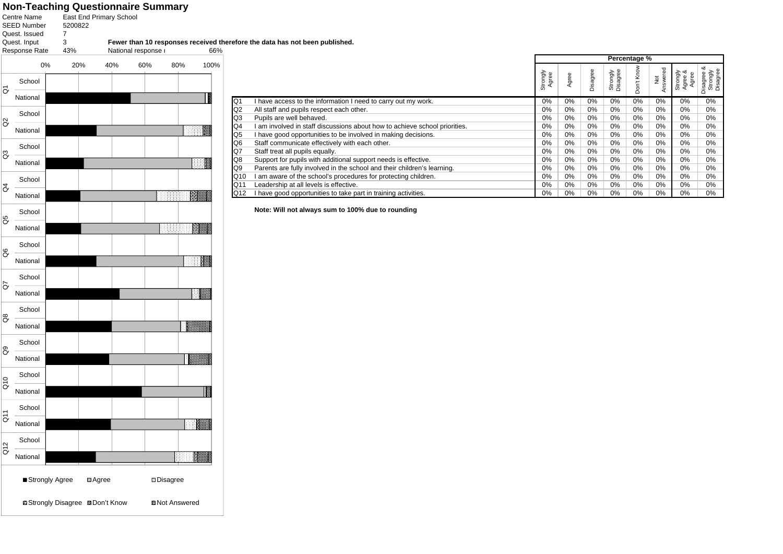# **Non-Teaching Questionnaire Summary**<br><sub>Centre Name East End Primary School</sub>

343% National response r 66% Response Rate SEED Number Quest. Issued Quest. Input **Fewer than 10 responses received therefore the data has not been published.** 7 5200822

|     |          | 0%<br>20%      |                | 40% | 60%                   | 80%       | 100%                                                                                                                                                                                                                           |
|-----|----------|----------------|----------------|-----|-----------------------|-----------|--------------------------------------------------------------------------------------------------------------------------------------------------------------------------------------------------------------------------------|
|     | School   |                |                |     |                       |           |                                                                                                                                                                                                                                |
| ၓ   | National |                |                |     |                       |           | IN                                                                                                                                                                                                                             |
| ã   | School   |                |                |     |                       |           |                                                                                                                                                                                                                                |
|     | National |                |                |     |                       | <b>IN</b> |                                                                                                                                                                                                                                |
| 3   | School   |                |                |     |                       |           |                                                                                                                                                                                                                                |
|     | National |                |                |     |                       |           | and the second second second second second second second second second second second second second second second second second second second second second second second second second second second second second second seco |
| ð   | School   |                |                |     |                       |           |                                                                                                                                                                                                                                |
|     | National |                |                |     |                       | e e no    |                                                                                                                                                                                                                                |
| ဗိ  | School   |                |                |     |                       |           |                                                                                                                                                                                                                                |
|     | National |                |                |     |                       |           |                                                                                                                                                                                                                                |
| g   | School   |                |                |     |                       |           |                                                                                                                                                                                                                                |
|     | National |                |                |     |                       | a a M     |                                                                                                                                                                                                                                |
| ā   | School   |                |                |     |                       |           |                                                                                                                                                                                                                                |
|     | National |                |                |     |                       | ∣≋        |                                                                                                                                                                                                                                |
| ඊ   | School   |                |                |     |                       |           |                                                                                                                                                                                                                                |
|     | National |                |                |     |                       |           |                                                                                                                                                                                                                                |
| ටී  | School   |                |                |     |                       |           |                                                                                                                                                                                                                                |
|     | National |                |                |     |                       |           |                                                                                                                                                                                                                                |
|     | School   |                |                |     |                       |           |                                                                                                                                                                                                                                |
| ã   | National |                |                |     |                       |           | m                                                                                                                                                                                                                              |
|     | School   |                |                |     |                       |           |                                                                                                                                                                                                                                |
| ă   | National |                |                |     |                       | 照         |                                                                                                                                                                                                                                |
|     | School   |                |                |     |                       |           |                                                                                                                                                                                                                                |
| Q12 | National |                |                |     |                       | EBBE      |                                                                                                                                                                                                                                |
|     |          | Strongly Agree | <b>□</b> Agree |     | <b>Disagree</b>       |           |                                                                                                                                                                                                                                |
|     |          |                |                |     | <b>Z</b> Not Answered |           |                                                                                                                                                                                                                                |

|     |                                                                            | Percentage %      |       |          |                      |                               |                     |                                                    |                                         |
|-----|----------------------------------------------------------------------------|-------------------|-------|----------|----------------------|-------------------------------|---------------------|----------------------------------------------------|-----------------------------------------|
|     |                                                                            | Strongly<br>Agree | Agree | Disagree | Strongly<br>Disagree | Kno<br>$\pm$<br>$\Omega$<br>∩ | Not<br>iswered<br>⋖ | Strongly<br>Agree &<br>CD<br>Agree<br>Agree<br>gre | య<br>Disagree &<br>Strongly<br>Disagree |
| Q1  | I have access to the information I need to carry out my work.              | $0\%$             | 0%    | 0%       | 0%                   | 0%                            | $0\%$               | $0\%$                                              | 0%                                      |
| Q2  | All staff and pupils respect each other.                                   | $0\%$             | 0%    | 0%       | 0%                   | 0%                            | $0\%$               | 0%                                                 | 0%                                      |
| Q3  | Pupils are well behaved.                                                   | 0%                | 0%    | 0%       | 0%                   | 0%                            | 0%                  | 0%                                                 | 0%                                      |
| Q4  | I am involved in staff discussions about how to achieve school priorities. | $0\%$             | 0%    | 0%       | 0%                   | 0%                            | $0\%$               | $0\%$                                              | 0%                                      |
| Q5  | I have good opportunities to be involved in making decisions.              | $0\%$             | $0\%$ | 0%       | 0%                   | 0%                            | $0\%$               | 0%                                                 | 0%                                      |
| Q6  | Staff communicate effectively with each other.                             | $0\%$             | 0%    | 0%       | 0%                   | 0%                            | $0\%$               | 0%                                                 | 0%                                      |
| Q7  | Staff treat all pupils equally.                                            | $0\%$             | 0%    | 0%       | 0%                   | 0%                            | $0\%$               | 0%                                                 | 0%                                      |
| Q8  | Support for pupils with additional support needs is effective.             | $0\%$             | 0%    | $0\%$    | $0\%$                | 0%                            | $0\%$               | 0%                                                 | 0%                                      |
| Q9  | Parents are fully involved in the school and their children's learning.    | $0\%$             | 0%    | 0%       | 0%                   | 0%                            | $0\%$               | 0%                                                 | 0%                                      |
| Q10 | I am aware of the school's procedures for protecting children.             | $0\%$             | 0%    | 0%       | 0%                   | 0%                            | $0\%$               | 0%                                                 | 0%                                      |
| Q11 | Leadership at all levels is effective.                                     | $0\%$             | 0%    | 0%       | $0\%$                | $0\%$                         | $0\%$               | 0%                                                 | 0%                                      |
| Q12 | I have good opportunities to take part in training activities.             | $0\%$             | 0%    | 0%       | 0%                   | 0%                            | $0\%$               | 0%                                                 | 0%                                      |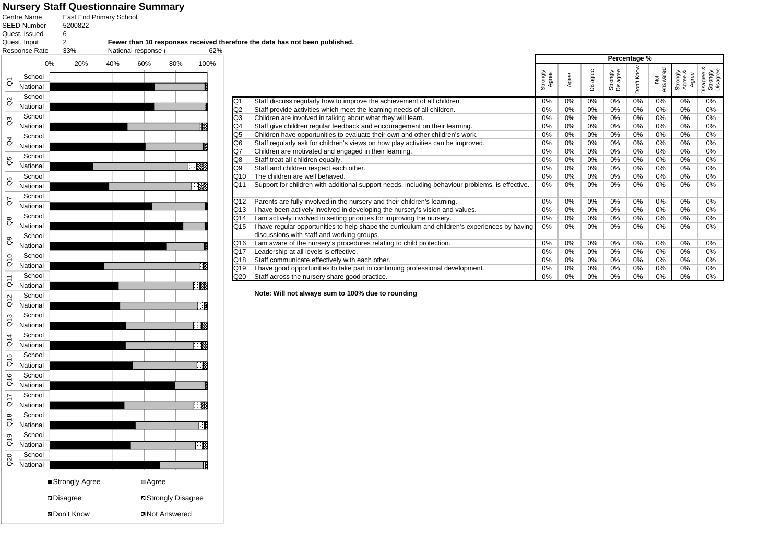# **Nursery Staff Questionnaire Summary<br><sub>Centre Name East End Primary School**</sub>

233% National response r 62% SEED Number Quest. Issued Quest. Input 5200822 Response Rate **Fewer than 10 responses received therefore the data has not been published.** 6 0% 20% 40% 60% 80% 100% School National School  $\overline{c}$  $\sim$ 

|                |                                                                                                 | Percentage %      |       |          |                      |            |                           |                                    |                                         |
|----------------|-------------------------------------------------------------------------------------------------|-------------------|-------|----------|----------------------|------------|---------------------------|------------------------------------|-----------------------------------------|
|                |                                                                                                 | Strongly<br>Agree | Agree | Disagree | Strongly<br>Disagree | Don't Know | Answered<br>$\frac{5}{2}$ | ంర<br>Strongly<br>Agree &<br>Agree | య<br>Strongly<br>Disagree<br>Disagree & |
| Q1             | Staff discuss regularly how to improve the achievement of all children.                         | 0%                | 0%    | $0\%$    | 0%                   | 0%         | 0%                        | 0%                                 | 0%                                      |
| Q <sub>2</sub> | Staff provide activities which meet the learning needs of all children.                         | 0%                | 0%    | 0%       | 0%                   | 0%         | 0%                        | 0%                                 | 0%                                      |
| Q3             | Children are involved in talking about what they will learn.                                    | 0%                | 0%    | 0%       | 0%                   | 0%         | 0%                        | 0%                                 | 0%                                      |
| Q4             | Staff give children regular feedback and encouragement on their learning.                       | 0%                | 0%    | 0%       | 0%                   | 0%         | 0%                        | 0%                                 | 0%                                      |
| Q <sub>5</sub> | Children have opportunities to evaluate their own and other children's work.                    | 0%                | 0%    | 0%       | 0%                   | 0%         | 0%                        | 0%                                 | 0%                                      |
| Q <sub>6</sub> | Staff regularly ask for children's views on how play activities can be improved.                | 0%                | 0%    | 0%       | 0%                   | 0%         | 0%                        | 0%                                 | 0%                                      |
| Q7             | Children are motivated and engaged in their learning.                                           | 0%                | 0%    | 0%       | 0%                   | 0%         | 0%                        | 0%                                 | 0%                                      |
| Q8             | Staff treat all children equally.                                                               | 0%                | 0%    | 0%       | 0%                   | 0%         | 0%                        | 0%                                 | 0%                                      |
| Q9             | Staff and children respect each other.                                                          | 0%                | 0%    | 0%       | 0%                   | 0%         | 0%                        | 0%                                 | 0%                                      |
| Q10            | The children are well behaved.                                                                  | 0%                | 0%    | 0%       | 0%                   | 0%         | 0%                        | 0%                                 | 0%                                      |
| Q11            | Support for children with additional support needs, including behaviour problems, is effective. | 0%                | 0%    | 0%       | 0%                   | 0%         | 0%                        | 0%                                 | 0%                                      |
| Q12            | Parents are fully involved in the nursery and their children's learning.                        | 0%                | 0%    | 0%       | 0%                   | 0%         | 0%                        | 0%                                 | 0%                                      |
| Q13            | I have been actively involved in developing the nursery's vision and values.                    | 0%                | 0%    | 0%       | 0%                   | 0%         | 0%                        | 0%                                 | 0%                                      |
| Q14            | am actively involved in setting priorities for improving the nursery.                           | 0%                | 0%    | 0%       | 0%                   | 0%         | 0%                        | 0%                                 | 0%                                      |
| Q15            | I have regular opportunities to help shape the curriculum and children's experiences by having  | 0%                | 0%    | 0%       | 0%                   | 0%         | 0%                        | 0%                                 | 0%                                      |
|                | discussions with staff and working groups.                                                      |                   |       |          |                      |            |                           |                                    |                                         |
| Q16            | I am aware of the nursery's procedures relating to child protection.                            | 0%                | 0%    | 0%       | 0%                   | 0%         | 0%                        | 0%                                 | 0%                                      |
| Q17            | Leadership at all levels is effective.                                                          | 0%                | 0%    | 0%       | 0%                   | 0%         | 0%                        | 0%                                 | 0%                                      |
| Q18            | Staff communicate effectively with each other.                                                  | 0%                | 0%    | 0%       | 0%                   | 0%         | 0%                        | 0%                                 | 0%                                      |
| Q19            | I have good opportunities to take part in continuing professional development.                  | 0%                | 0%    | 0%       | 0%                   | 0%         | 0%                        | 0%                                 | 0%                                      |
| Q20            | Staff across the nursery share good practice.                                                   | 0%                | 0%    | 0%       | 0%                   | 0%         | 0%                        | 0%                                 | 0%                                      |

| Ø              | National           |                    |                            |
|----------------|--------------------|--------------------|----------------------------|
|                | School             |                    |                            |
| G3             | National           |                    | I                          |
| $\beta$        | School             |                    |                            |
|                | National           |                    | 闇                          |
| 8p             | School             |                    |                            |
|                | National           |                    | <b>START OF STREET</b>     |
| 8              | School             |                    |                            |
|                | National           |                    | <b>REGISTER</b>            |
| G              | School             |                    |                            |
|                | National           |                    |                            |
| $\frac{8}{3}$  | School             |                    |                            |
|                | National           |                    |                            |
| $\mathbf{G}$   | School             |                    |                            |
|                | National<br>School |                    | H                          |
| Q10            | National           |                    | ΓØ                         |
|                | School             |                    |                            |
| $\tilde{G}$    | National           |                    | 一致                         |
|                | School             |                    |                            |
| Q12            | National           |                    | ाइ                         |
|                | School             |                    |                            |
| Q13            | National           |                    | ΓΜ                         |
|                | School             |                    |                            |
| $\overline{C}$ | National           |                    | <b>IN</b>                  |
|                | School             |                    |                            |
| Q15            | National           |                    | HK                         |
|                | School             |                    |                            |
| Q16            | National           |                    |                            |
| Q17            | School             |                    |                            |
|                | National           |                    | $\blacksquare$             |
| $\frac{8}{9}$  | School             |                    |                            |
|                | National           |                    | ा                          |
| Q19            | School             |                    |                            |
|                | National           |                    | ∷ ⊠                        |
| Q20            | School             |                    |                            |
|                | National           |                    | I                          |
|                |                    | ■ Strongly Agree   | ⊟Agree                     |
|                |                    | <b>Disagree</b>    | <b>■ Strongly Disagree</b> |
|                |                    | <b>®Don't Know</b> | <b>Ø</b> Not Answered      |
|                |                    |                    |                            |